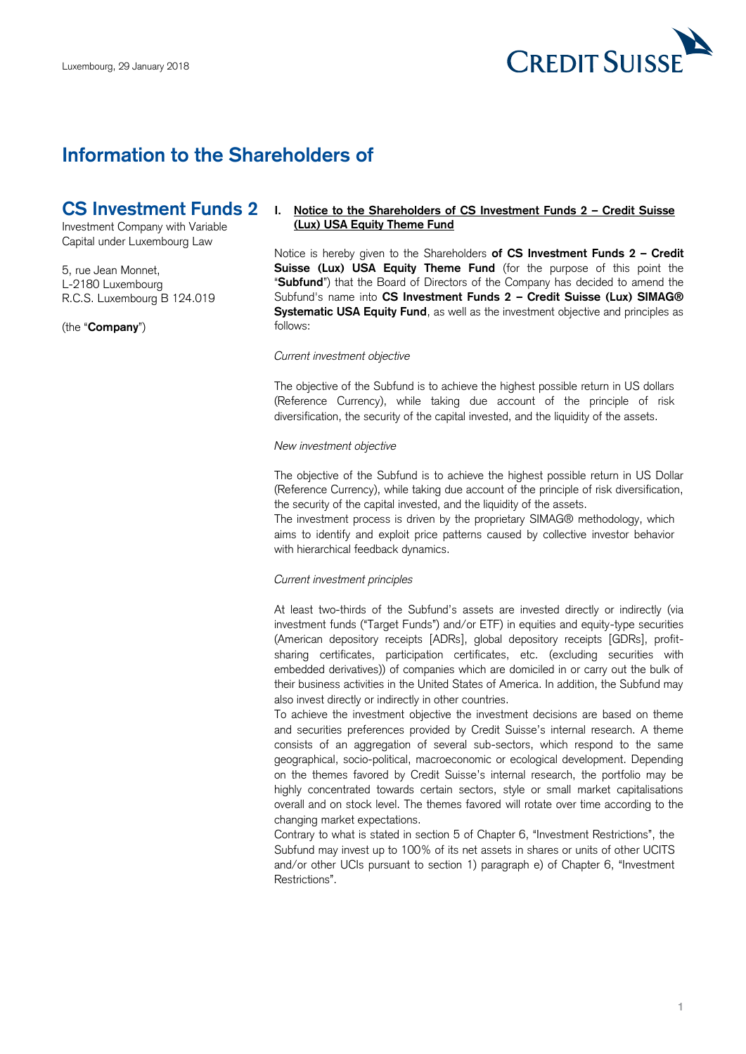

# **Information to the Shareholders of**

# **CS Investment Funds 2**

Investment Company with Variable Capital under Luxembourg Law

5, rue Jean Monnet, L-2180 Luxembourg R.C.S. Luxembourg B 124.019

(the "**Company**")

## **I. Notice to the Shareholders of CS Investment Funds 2 – Credit Suisse (Lux) USA Equity Theme Fund**

 Notice is hereby given to the Shareholders **of CS Investment Funds 2 – Credit Suisse (Lux) USA Equity Theme Fund** (for the purpose of this point the "**Subfund**") that the Board of Directors of the Company has decided to amend the  Subfund's name into **CS Investment Funds 2 – Credit Suisse (Lux) SIMAG® Systematic USA Equity Fund**, as well as the investment objective and principles as follows:

### *Current investment objective*

 The objective of the Subfund is to achieve the highest possible return in US dollars (Reference Currency), while taking due account of the principle of risk diversification, the security of the capital invested, and the liquidity of the assets.

#### *New investment objective*

 The objective of the Subfund is to achieve the highest possible return in US Dollar (Reference Currency), while taking due account of the principle of risk diversification, the security of the capital invested, and the liquidity of the assets.

 The investment process is driven by the proprietary SIMAG® methodology, which aims to identify and exploit price patterns caused by collective investor behavior with hierarchical feedback dynamics.

### *Current investment principles*

 At least two-thirds of the Subfund's assets are invested directly or indirectly (via investment funds ("Target Funds") and/or ETF) in equities and equity-type securities (American depository receipts [ADRs], global depository receipts [GDRs], profit- embedded derivatives)) of companies which are domiciled in or carry out the bulk of sharing certificates, participation certificates, etc. (excluding securities with their business activities in the United States of America. In addition, the Subfund may also invest directly or indirectly in other countries.

 To achieve the investment objective the investment decisions are based on theme and securities preferences provided by Credit Suisse's internal research. A theme consists of an aggregation of several sub-sectors, which respond to the same geographical, socio-political, macroeconomic or ecological development. Depending on the themes favored by Credit Suisse's internal research, the portfolio may be highly concentrated towards certain sectors, style or small market capitalisations overall and on stock level. The themes favored will rotate over time according to the changing market expectations.

 Contrary to what is stated in section 5 of Chapter 6, "Investment Restrictions", the Subfund may invest up to 100% of its net assets in shares or units of other UCITS and/or other UCIs pursuant to section 1) paragraph e) of Chapter 6, "Investment Restrictions".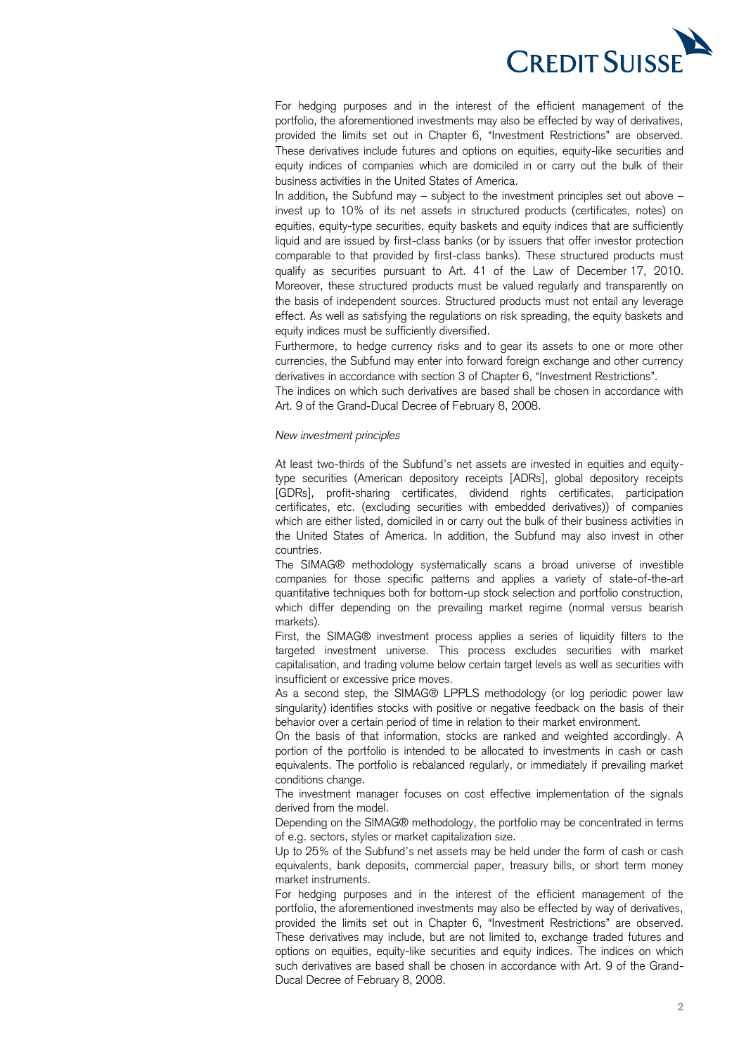

 For hedging purposes and in the interest of the efficient management of the portfolio, the aforementioned investments may also be effected by way of derivatives, provided the limits set out in Chapter 6, "Investment Restrictions" are observed. These derivatives include futures and options on equities, equity-like securities and equity indices of companies which are domiciled in or carry out the bulk of their business activities in the United States of America.

 In addition, the Subfund may – subject to the investment principles set out above – invest up to 10% of its net assets in structured products (certificates, notes) on equities, equity-type securities, equity baskets and equity indices that are sufficiently liquid and are issued by first-class banks (or by issuers that offer investor protection comparable to that provided by first-class banks). These structured products must qualify as securities pursuant to Art. 41 of the Law of December 17, 2010. Moreover, these structured products must be valued regularly and transparently on the basis of independent sources. Structured products must not entail any leverage effect. As well as satisfying the regulations on risk spreading, the equity baskets and equity indices must be sufficiently diversified.

 Furthermore, to hedge currency risks and to gear its assets to one or more other currencies, the Subfund may enter into forward foreign exchange and other currency derivatives in accordance with section 3 of Chapter 6, "Investment Restrictions".

 The indices on which such derivatives are based shall be chosen in accordance with Art. 9 of the Grand-Ducal Decree of February 8, 2008.

#### *New investment principles*

 At least two-thirds of the Subfund's net assets are invested in equities and equity- type securities (American depository receipts [ADRs], global depository receipts certificates, etc. (excluding securities with embedded derivatives)) of companies which are either listed, domiciled in or carry out the bulk of their business activities in the United States of America. In addition, the Subfund may also invest in other [GDRs], profit-sharing certificates, dividend rights certificates, participation countries.

 The SIMAG® methodology systematically scans a broad universe of investible companies for those specific patterns and applies a variety of state-of-the-art quantitative techniques both for bottom-up stock selection and portfolio construction, which differ depending on the prevailing market regime (normal versus bearish markets).

 First, the SIMAG® investment process applies a series of liquidity filters to the targeted investment universe. This process excludes securities with market capitalisation, and trading volume below certain target levels as well as securities with insufficient or excessive price moves.

 As a second step, the SIMAG® LPPLS methodology (or log periodic power law singularity) identifies stocks with positive or negative feedback on the basis of their behavior over a certain period of time in relation to their market environment.

 On the basis of that information, stocks are ranked and weighted accordingly. A portion of the portfolio is intended to be allocated to investments in cash or cash equivalents. The portfolio is rebalanced regularly, or immediately if prevailing market conditions change.

 The investment manager focuses on cost effective implementation of the signals derived from the model.

 Depending on the SIMAG® methodology, the portfolio may be concentrated in terms of e.g. sectors, styles or market capitalization size.

 Up to 25% of the Subfund's net assets may be held under the form of cash or cash equivalents, bank deposits, commercial paper, treasury bills, or short term money market instruments.

 For hedging purposes and in the interest of the efficient management of the portfolio, the aforementioned investments may also be effected by way of derivatives, provided the limits set out in Chapter 6, "Investment Restrictions" are observed. These derivatives may include, but are not limited to, exchange traded futures and options on equities, equity-like securities and equity indices. The indices on which such derivatives are based shall be chosen in accordance with Art. 9 of the Grand-Ducal Decree of February 8, 2008.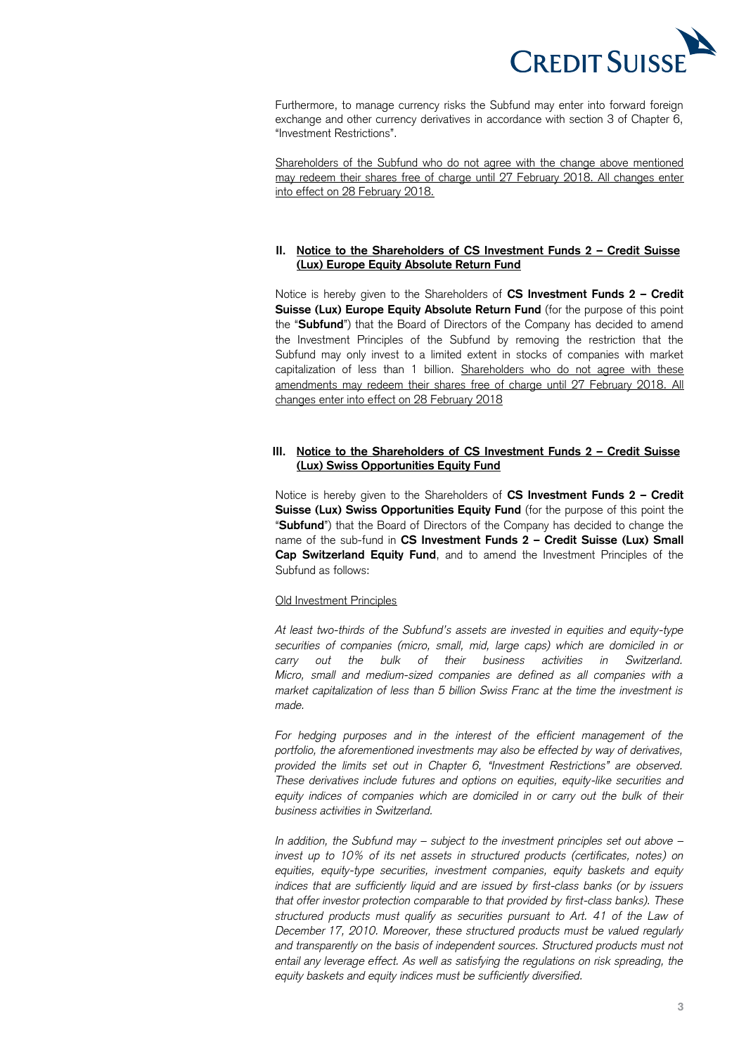

 Furthermore, to manage currency risks the Subfund may enter into forward foreign exchange and other currency derivatives in accordance with section 3 of Chapter 6, "Investment Restrictions".

Shareholders of the Subfund who do not agree with the change above mentioned may redeem their shares free of charge until 27 February 2018. All changes enter into effect on 28 February 2018.

# **II. Notice to the Shareholders of CS Investment Funds 2 – Credit Suisse (Lux) Europe Equity Absolute Return Fund**

 Notice is hereby given to the Shareholders of **CS Investment Funds 2 – Credit**  Suisse (Lux) Europe Equity Absolute Return Fund (for the purpose of this point the "**Subfund**") that the Board of Directors of the Company has decided to amend the Investment Principles of the Subfund by removing the restriction that the Subfund may only invest to a limited extent in stocks of companies with market capitalization of less than 1 billion. Shareholders who do not agree with these amendments may redeem their shares free of charge until 27 February 2018. All changes enter into effect on 28 February 2018

## **III. Notice to the Shareholders of CS Investment Funds 2 – Credit Suisse (Lux) Swiss Opportunities Equity Fund**

 Notice is hereby given to the Shareholders of **CS Investment Funds 2 – Credit**  Suisse (Lux) Swiss Opportunities Equity Fund (for the purpose of this point the "**Subfund**") that the Board of Directors of the Company has decided to change the name of the sub-fund in **CS Investment Funds 2 – Credit Suisse (Lux) Small Cap Switzerland Equity Fund**, and to amend the Investment Principles of the Subfund as follows:

## Old Investment Principles

 *At least two-thirds of the Subfund's assets are invested in equities and equity-type securities of companies (micro, small, mid, large caps) which are domiciled in or*  out the bulk of  *Micro, small and medium-sized companies are defined as all companies with a market capitalization of less than 5 billion Swiss Franc at the time the investment is carry out the bulk of their business activities in Switzerland. made.* 

 *For hedging purposes and in the interest of the efficient management of the portfolio, the aforementioned investments may also be effected by way of derivatives, provided the limits set out in Chapter 6, "Investment Restrictions" are observed. These derivatives include futures and options on equities, equity-like securities and*  equity indices of companies which are domiciled in or carry out the bulk of their *business activities in Switzerland.* 

 *In addition, the Subfund may – subject to the investment principles set out above – invest up to 10% of its net assets in structured products (certificates, notes) on equities, equity-type securities, investment companies, equity baskets and equity indices that are sufficiently liquid and are issued by first-class banks (or by issuers that offer investor protection comparable to that provided by first-class banks). These structured products must qualify as securities pursuant to Art. 41 of the Law of December 17, 2010. Moreover, these structured products must be valued regularly*  and transparently on the basis of independent sources. Structured products must not  *entail any leverage effect. As well as satisfying the regulations on risk spreading, the equity baskets and equity indices must be sufficiently diversified.*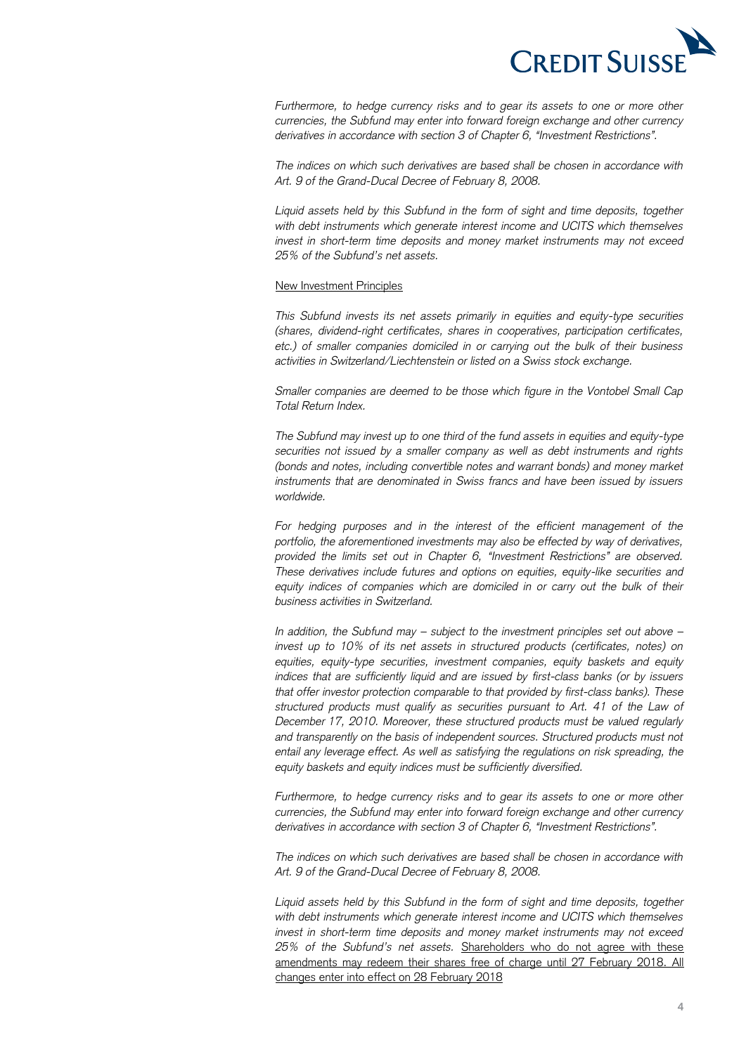

Furthermore, to hedge currency risks and to gear its assets to one or more other  *currencies, the Subfund may enter into forward foreign exchange and other currency derivatives in accordance with section 3 of Chapter 6, "Investment Restrictions".* 

 *The indices on which such derivatives are based shall be chosen in accordance with*  Art. 9 of the Grand-Ducal Decree of February 8, 2008.

Art. 9 of the Grand-Ducal Decree of February 8, 2008.<br>Liquid assets held by this Subfund in the form of sight and time deposits, together  *with debt instruments which generate interest income and UCITS which themselves invest in short-term time deposits and money market instruments may not exceed 25% of the Subfund's net assets.* 

## New Investment Principles

 *This Subfund invests its net assets primarily in equities and equity-type securities etc.) of smaller companies domiciled in or carrying out the bulk of their business (shares, dividend-right certificates, shares in cooperatives, participation certificates, activities in Switzerland/Liechtenstein or listed on a Swiss stock exchange.* 

 *Smaller companies are deemed to be those which figure in the Vontobel Small Cap Total Return Index.* 

 *The Subfund may invest up to one third of the fund assets in equities and equity-type securities not issued by a smaller company as well as debt instruments and rights (bonds and notes, including convertible notes and warrant bonds) and money market instruments that are denominated in Swiss francs and have been issued by issuers worldwide.* 

 *For hedging purposes and in the interest of the efficient management of the portfolio, the aforementioned investments may also be effected by way of derivatives, provided the limits set out in Chapter 6, "Investment Restrictions" are observed. These derivatives include futures and options on equities, equity-like securities and*  equity indices of companies which are domiciled in or carry out the bulk of their *business activities in Switzerland.* 

 *In addition, the Subfund may – subject to the investment principles set out above – invest up to 10% of its net assets in structured products (certificates, notes) on equities, equity-type securities, investment companies, equity baskets and equity indices that are sufficiently liquid and are issued by first-class banks (or by issuers that offer investor protection comparable to that provided by first-class banks). These*  structured products must qualify as securities pursuant to Art. 41 of the Law of  *December 17, 2010. Moreover, these structured products must be valued regularly*  and transparently on the basis of independent sources. Structured products must not  *entail any leverage effect. As well as satisfying the regulations on risk spreading, the equity baskets and equity indices must be sufficiently diversified.* 

Furthermore, to hedge currency risks and to gear its assets to one or more other  *currencies, the Subfund may enter into forward foreign exchange and other currency derivatives in accordance with section 3 of Chapter 6, "Investment Restrictions".*

 *The indices on which such derivatives are based shall be chosen in accordance with Art. 9 of the Grand-Ducal Decree of February 8, 2008.* 

 *Liquid assets held by this Subfund in the form of sight and time deposits, together*  with debt instruments which generate interest income and UCITS which themselves  *invest in short-term time deposits and money market instruments may not exceed 25% of the Subfund's net assets.* Shareholders who do not agree with these amendments may redeem their shares free of charge until 27 February 2018. All changes enter into effect on 28 February 2018